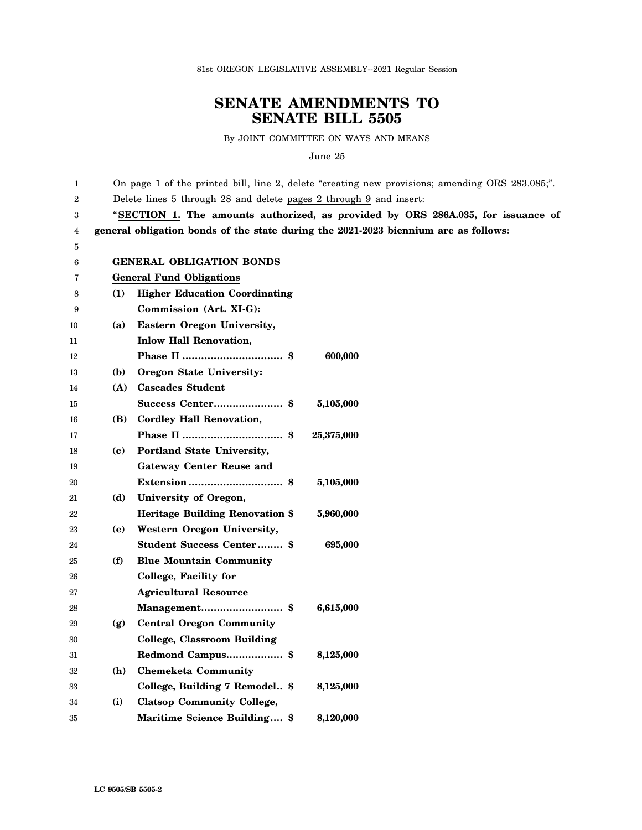81st OREGON LEGISLATIVE ASSEMBLY--2021 Regular Session

## **SENATE AMENDMENTS TO SENATE BILL 5505**

By JOINT COMMITTEE ON WAYS AND MEANS

June 25

| 1  |                                 | On page 1 of the printed bill, line 2, delete "creating new provisions; amending ORS 283.085;". |  |
|----|---------------------------------|-------------------------------------------------------------------------------------------------|--|
| 2  |                                 | Delete lines 5 through 28 and delete pages 2 through 9 and insert:                              |  |
| 3  |                                 | "SECTION 1. The amounts authorized, as provided by ORS 286A.035, for issuance of                |  |
| 4  |                                 | general obligation bonds of the state during the 2021-2023 biennium are as follows:             |  |
| 5  |                                 |                                                                                                 |  |
| 6  |                                 | <b>GENERAL OBLIGATION BONDS</b>                                                                 |  |
| 7  | <b>General Fund Obligations</b> |                                                                                                 |  |
| 8  | (1)                             | <b>Higher Education Coordinating</b>                                                            |  |
| 9  |                                 | Commission (Art. XI-G):                                                                         |  |
| 10 | (a)                             | Eastern Oregon University,                                                                      |  |
| 11 |                                 | <b>Inlow Hall Renovation,</b>                                                                   |  |
| 12 |                                 | 600,000                                                                                         |  |
| 13 | (b)                             | Oregon State University:                                                                        |  |
| 14 | (A)                             | <b>Cascades Student</b>                                                                         |  |
| 15 |                                 | 5,105,000                                                                                       |  |
| 16 | (B)                             | <b>Cordley Hall Renovation,</b>                                                                 |  |
| 17 |                                 | 25,375,000                                                                                      |  |
| 18 | (c)                             | Portland State University,                                                                      |  |
| 19 |                                 | <b>Gateway Center Reuse and</b>                                                                 |  |
| 20 |                                 | 5,105,000                                                                                       |  |
| 21 | (d)                             | University of Oregon,                                                                           |  |
| 22 |                                 | Heritage Building Renovation \$<br>5,960,000                                                    |  |
| 23 | (e)                             | Western Oregon University,                                                                      |  |
| 24 |                                 | Student Success Center \$<br>695,000                                                            |  |
| 25 | (f)                             | <b>Blue Mountain Community</b>                                                                  |  |
| 26 |                                 | College, Facility for                                                                           |  |
| 27 |                                 | <b>Agricultural Resource</b>                                                                    |  |
| 28 |                                 | Management \$<br>6,615,000                                                                      |  |
| 29 | (g)                             | <b>Central Oregon Community</b>                                                                 |  |
| 30 |                                 | <b>College, Classroom Building</b>                                                              |  |
| 31 |                                 | Redmond Campus \$<br>8,125,000                                                                  |  |
| 32 | ( <b>h</b> )                    | <b>Chemeketa Community</b>                                                                      |  |
| 33 |                                 | College, Building 7 Remodel \$<br>8,125,000                                                     |  |
| 34 | (i)                             | <b>Clatsop Community College,</b>                                                               |  |
| 35 |                                 | Maritime Science Building \$<br>8,120,000                                                       |  |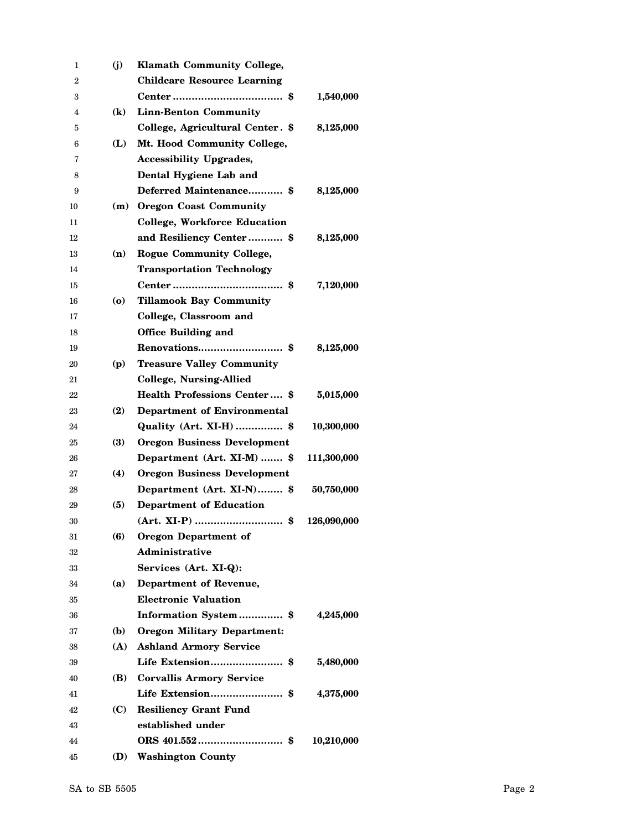| 1  | (j)            | <b>Klamath Community College,</b>   |             |
|----|----------------|-------------------------------------|-------------|
| 2  |                | <b>Childcare Resource Learning</b>  |             |
| 3  |                |                                     | 1,540,000   |
| 4  | $(\mathbf{k})$ | <b>Linn-Benton Community</b>        |             |
| 5  |                | College, Agricultural Center. \$    | 8,125,000   |
| 6  | (L)            | Mt. Hood Community College,         |             |
| 7  |                | <b>Accessibility Upgrades,</b>      |             |
| 8  |                | Dental Hygiene Lab and              |             |
| 9  |                | Deferred Maintenance \$             | 8,125,000   |
| 10 | (m)            | <b>Oregon Coast Community</b>       |             |
| 11 |                | <b>College, Workforce Education</b> |             |
| 12 |                | and Resiliency Center \$            | 8,125,000   |
| 13 | (n)            | <b>Rogue Community College,</b>     |             |
| 14 |                | <b>Transportation Technology</b>    |             |
| 15 |                |                                     | 7,120,000   |
| 16 | (o)            | <b>Tillamook Bay Community</b>      |             |
| 17 |                | College, Classroom and              |             |
| 18 |                | <b>Office Building and</b>          |             |
| 19 |                |                                     | 8,125,000   |
| 20 | (p)            | <b>Treasure Valley Community</b>    |             |
| 21 |                | <b>College, Nursing-Allied</b>      |             |
| 22 |                | <b>Health Professions Center</b> \$ | 5,015,000   |
| 23 | (2)            | <b>Department of Environmental</b>  |             |
| 24 |                | Quality (Art. XI-H)  \$             | 10,300,000  |
| 25 | (3)            | <b>Oregon Business Development</b>  |             |
| 26 |                | Department (Art. XI-M)  \$          | 111,300,000 |
| 27 | (4)            | <b>Oregon Business Development</b>  |             |
| 28 |                | Department (Art. XI-N) \$           | 50,750,000  |
| 29 | (5)            | <b>Department of Education</b>      |             |
| 30 |                |                                     | 126,090,000 |
| 31 | (6)            | <b>Oregon Department of</b>         |             |
| 32 |                | Administrative                      |             |
| 33 |                | Services (Art. XI-Q):               |             |
| 34 | (a)            | Department of Revenue,              |             |
| 35 |                | <b>Electronic Valuation</b>         |             |
| 36 |                | Information System\$                | 4,245,000   |
| 37 | (b)            | <b>Oregon Military Department:</b>  |             |
| 38 |                | (A) Ashland Armory Service          |             |
| 39 |                | Life Extension \$                   | 5,480,000   |
| 40 | (B)            | <b>Corvallis Armory Service</b>     |             |
| 41 |                |                                     | 4,375,000   |
| 42 | (C) —          | <b>Resiliency Grant Fund</b>        |             |
| 43 |                | established under                   |             |
| 44 |                |                                     | 10,210,000  |
| 45 | (D)            | <b>Washington County</b>            |             |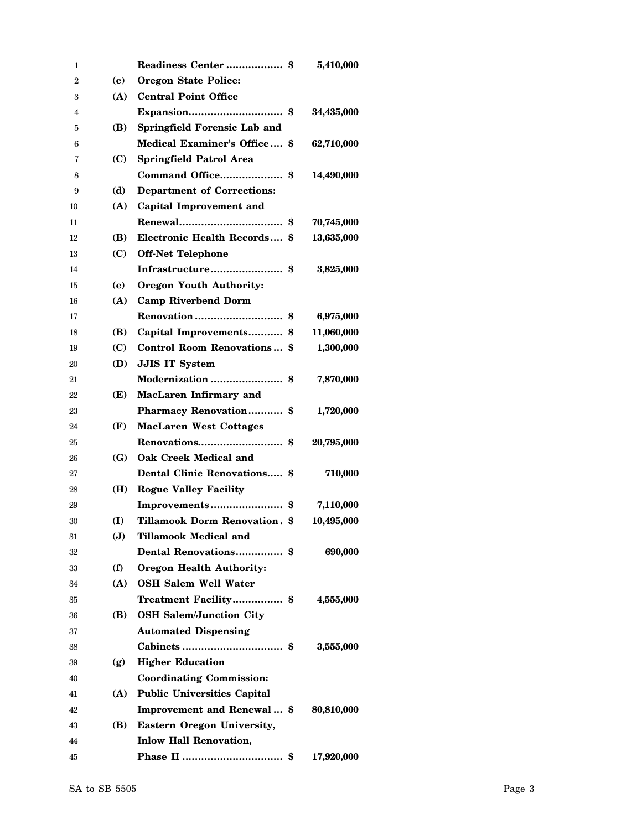| 1  |            |                                      | 5,410,000        |
|----|------------|--------------------------------------|------------------|
| 2  | (c)        | <b>Oregon State Police:</b>          |                  |
| 3  | (A)        | <b>Central Point Office</b>          |                  |
| 4  |            |                                      | 34,435,000       |
| 5  | (B)        | Springfield Forensic Lab and         |                  |
| 6  |            | Medical Examiner's Office \$         | 62,710,000       |
| 7  | (C)        | <b>Springfield Patrol Area</b>       |                  |
| 8  |            | Command Office \$                    | 14,490,000       |
| 9  | (d)        | <b>Department of Corrections:</b>    |                  |
| 10 | (A)        | Capital Improvement and              |                  |
| 11 |            |                                      | 70,745,000       |
| 12 | (B)        | Electronic Health Records \$         | 13,635,000       |
| 13 | (C)        | <b>Off-Net Telephone</b>             |                  |
| 14 |            | Infrastructure \$                    | 3,825,000        |
| 15 | (e)        | <b>Oregon Youth Authority:</b>       |                  |
| 16 | (A)        | <b>Camp Riverbend Dorm</b>           |                  |
| 17 |            | <b>Renovation</b>                    | \$<br>6,975,000  |
| 18 | (B)        | Capital Improvements                 | \$<br>11,060,000 |
| 19 | (C)        | Control Room Renovations \$          | 1,300,000        |
| 20 | (D)        | <b>JJIS IT System</b>                |                  |
| 21 |            | Modernization                        | \$<br>7,870,000  |
| 22 | (E)        | MacLaren Infirmary and               |                  |
| 23 |            | Pharmacy Renovation\$                | 1,720,000        |
| 24 | (F)        | <b>MacLaren West Cottages</b>        |                  |
| 25 |            |                                      | \$<br>20,795,000 |
| 26 | <b>(G)</b> | <b>Oak Creek Medical and</b>         |                  |
| 27 |            | Dental Clinic Renovations \$         | 710,000          |
| 28 | (H)        | <b>Rogue Valley Facility</b>         |                  |
| 29 |            | Improvements                         | \$<br>7,110,000  |
| 30 | (I)        | <b>Tillamook Dorm Renovation. \$</b> | 10,495,000       |
| 31 | J          | <b>Tillamook Medical and</b>         |                  |
| 32 |            | Dental Renovations \$                | 690,000          |
| 33 | (f)        | <b>Oregon Health Authority:</b>      |                  |
| 34 | (A)        | <b>OSH Salem Well Water</b>          |                  |
| 35 |            | Treatment Facility \$                | 4,555,000        |
| 36 | (B)        | <b>OSH Salem/Junction City</b>       |                  |
| 37 |            | <b>Automated Dispensing</b>          |                  |
| 38 |            |                                      | 3,555,000        |
| 39 | (g)        | <b>Higher Education</b>              |                  |
| 40 |            | <b>Coordinating Commission:</b>      |                  |
| 41 | (A)        | <b>Public Universities Capital</b>   |                  |
| 42 |            | Improvement and Renewal \$           | 80,810,000       |
| 43 | (B)        | <b>Eastern Oregon University,</b>    |                  |
| 44 |            | <b>Inlow Hall Renovation,</b>        |                  |
| 45 |            |                                      | 17,920,000       |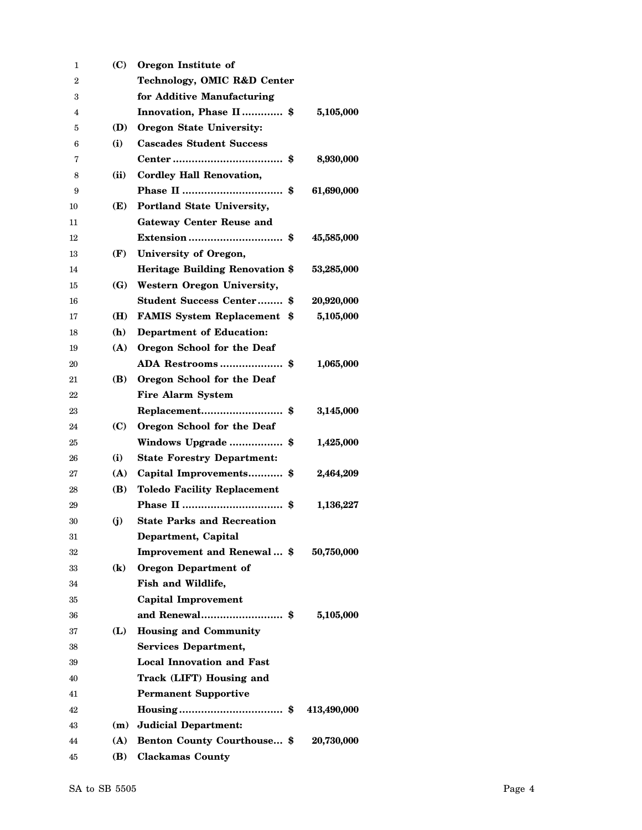| 1  | (C)            | Oregon Institute of                    |             |
|----|----------------|----------------------------------------|-------------|
| 2  |                | Technology, OMIC R&D Center            |             |
| 3  |                | for Additive Manufacturing             |             |
| 4  |                | Innovation, Phase II \$                | 5,105,000   |
| 5  | (D)            | <b>Oregon State University:</b>        |             |
| 6  | (i)            | <b>Cascades Student Success</b>        |             |
| 7  |                |                                        | 8,930,000   |
| 8  | (ii)           | <b>Cordley Hall Renovation,</b>        |             |
| 9  |                |                                        | 61,690,000  |
| 10 | (E)            | Portland State University,             |             |
| 11 |                | <b>Gateway Center Reuse and</b>        |             |
| 12 |                |                                        | 45,585,000  |
| 13 | (F)            | University of Oregon,                  |             |
| 14 |                | <b>Heritage Building Renovation \$</b> | 53,285,000  |
| 15 | (G)            | Western Oregon University,             |             |
| 16 |                | <b>Student Success Center \$</b>       | 20,920,000  |
| 17 | (H)            | <b>FAMIS System Replacement \$</b>     | 5,105,000   |
| 18 | (h)            | <b>Department of Education:</b>        |             |
| 19 | (A)            | Oregon School for the Deaf             |             |
| 20 |                |                                        | 1,065,000   |
| 21 | (B)            | Oregon School for the Deaf             |             |
| 22 |                | <b>Fire Alarm System</b>               |             |
| 23 |                | Replacement<br>\$                      | 3,145,000   |
| 24 | (C)            | Oregon School for the Deaf             |             |
| 25 |                | Windows Upgrade<br>\$                  | 1,425,000   |
| 26 | (i)            | <b>State Forestry Department:</b>      |             |
| 27 | (A)            | Capital Improvements \$                | 2,464,209   |
| 28 | (B)            | <b>Toledo Facility Replacement</b>     |             |
| 29 |                | \$                                     | 1,136,227   |
| 30 | (i)            | <b>State Parks and Recreation</b>      |             |
| 31 |                | Department, Capital                    |             |
| 32 |                | Improvement and Renewal \$             | 50,750,000  |
| 33 | $(\mathbf{k})$ | <b>Oregon Department of</b>            |             |
| 34 |                | Fish and Wildlife,                     |             |
| 35 |                | <b>Capital Improvement</b>             |             |
| 36 |                | and Renewal\$                          | 5,105,000   |
| 37 | (L)            | <b>Housing and Community</b>           |             |
| 38 |                | <b>Services Department,</b>            |             |
| 39 |                | <b>Local Innovation and Fast</b>       |             |
| 40 |                | Track (LIFT) Housing and               |             |
| 41 |                | <b>Permanent Supportive</b>            |             |
| 42 |                |                                        | 413,490,000 |
| 43 |                | (m) Judicial Department:               |             |
| 44 |                | (A) Benton County Courthouse \$        | 20,730,000  |
| 45 | (B)            | <b>Clackamas County</b>                |             |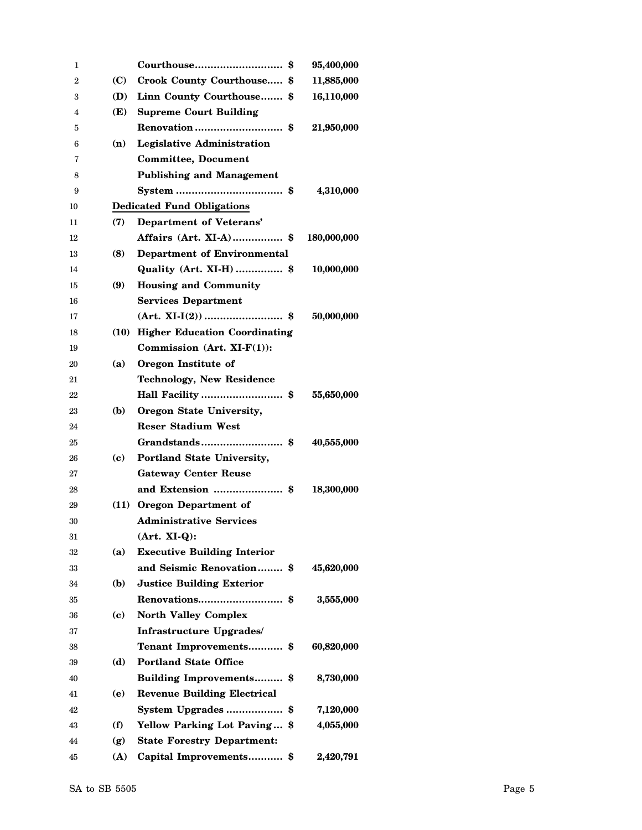| 1  |      | Courthouse<br>\$                   | 95,400,000  |
|----|------|------------------------------------|-------------|
| 2  | (C)  | Crook County Courthouse \$         | 11,885,000  |
| 3  | (D)  | Linn County Courthouse \$          | 16,110,000  |
| 4  | (E)  | <b>Supreme Court Building</b>      |             |
| 5  |      |                                    | 21,950,000  |
| 6  | (n)  | <b>Legislative Administration</b>  |             |
| 7  |      | <b>Committee, Document</b>         |             |
| 8  |      | <b>Publishing and Management</b>   |             |
| 9  |      |                                    | 4,310,000   |
| 10 |      | <b>Dedicated Fund Obligations</b>  |             |
| 11 | (7)  | Department of Veterans'            |             |
| 12 |      | Affairs (Art. XI-A) \$             | 180,000,000 |
| 13 | (8)  | Department of Environmental        |             |
| 14 |      | Quality (Art. XI-H)  \$            | 10,000,000  |
| 15 | (9)  | <b>Housing and Community</b>       |             |
| 16 |      | <b>Services Department</b>         |             |
| 17 |      |                                    | 50,000,000  |
| 18 |      | (10) Higher Education Coordinating |             |
| 19 |      | Commission (Art. $XI-F(1)$ ):      |             |
| 20 | (a)  | Oregon Institute of                |             |
| 21 |      | <b>Technology, New Residence</b>   |             |
| 22 |      | Hall Facility \$                   | 55,650,000  |
| 23 | (b)  | Oregon State University,           |             |
| 24 |      | <b>Reser Stadium West</b>          |             |
| 25 |      |                                    | 40,555,000  |
| 26 | (c)  | Portland State University,         |             |
| 27 |      | <b>Gateway Center Reuse</b>        |             |
| 28 |      |                                    | 18,300,000  |
| 29 | (11) | Oregon Department of               |             |
| 30 |      | <b>Administrative Services</b>     |             |
| 31 |      | $(Art. XI-Q):$                     |             |
| 32 | (a)  | <b>Executive Building Interior</b> |             |
| 33 |      | and Seismic Renovation \$          | 45,620,000  |
| 34 | (b)  | <b>Justice Building Exterior</b>   |             |
| 35 |      |                                    | 3,555,000   |
| 36 | (c)  | <b>North Valley Complex</b>        |             |
| 37 |      | Infrastructure Upgrades/           |             |
| 38 |      | Tenant Improvements \$             | 60,820,000  |
| 39 | (d)  | <b>Portland State Office</b>       |             |
| 40 |      | Building Improvements \$           | 8,730,000   |
| 41 | (e)  | <b>Revenue Building Electrical</b> |             |
| 42 |      | System Upgrades\$                  | 7,120,000   |
| 43 | (f)  | Yellow Parking Lot Paving \$       | 4,055,000   |
| 44 | (g)  | <b>State Forestry Department:</b>  |             |
| 45 | (A)  | Capital Improvements\$             | 2,420,791   |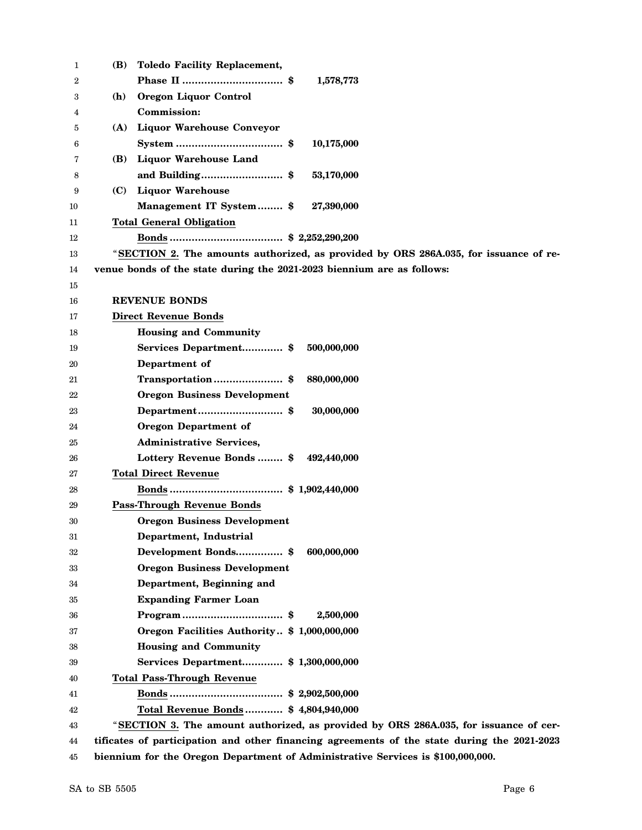| 1  | (B) | <b>Toledo Facility Replacement,</b>                                                         |
|----|-----|---------------------------------------------------------------------------------------------|
| 2  |     | 1,578,773                                                                                   |
| 3  | (h) | Oregon Liquor Control                                                                       |
| 4  |     | Commission:                                                                                 |
| 5  | (A) | <b>Liquor Warehouse Conveyor</b>                                                            |
| 6  |     | 10,175,000                                                                                  |
| 7  | (B) | <b>Liquor Warehouse Land</b>                                                                |
| 8  |     | and Building\$<br>53,170,000                                                                |
| 9  | (C) | <b>Liquor Warehouse</b>                                                                     |
| 10 |     | Management IT System \$<br>27,390,000                                                       |
| 11 |     | <b>Total General Obligation</b>                                                             |
| 12 |     |                                                                                             |
| 13 |     | "SECTION 2. The amounts authorized, as provided by ORS 286A.035, for issuance of re-        |
| 14 |     | venue bonds of the state during the 2021-2023 biennium are as follows:                      |
| 15 |     |                                                                                             |
| 16 |     | <b>REVENUE BONDS</b>                                                                        |
| 17 |     | <b>Direct Revenue Bonds</b>                                                                 |
| 18 |     | <b>Housing and Community</b>                                                                |
| 19 |     | 500,000,000<br>Services Department \$                                                       |
| 20 |     | Department of                                                                               |
| 21 |     | Transportation\$<br>880,000,000                                                             |
| 22 |     | <b>Oregon Business Development</b>                                                          |
| 23 |     | Department\$<br>30,000,000                                                                  |
| 24 |     | <b>Oregon Department of</b>                                                                 |
| 25 |     | <b>Administrative Services,</b>                                                             |
| 26 |     | Lottery Revenue Bonds  \$<br>492,440,000                                                    |
| 27 |     | <b>Total Direct Revenue</b>                                                                 |
| 28 |     |                                                                                             |
| 29 |     | <b>Pass-Through Revenue Bonds</b>                                                           |
| 30 |     | <b>Oregon Business Development</b>                                                          |
| 31 |     | Department, Industrial                                                                      |
| 32 |     | Development Bonds\$<br>600,000,000                                                          |
| 33 |     | <b>Oregon Business Development</b>                                                          |
| 34 |     | Department, Beginning and                                                                   |
| 35 |     | <b>Expanding Farmer Loan</b>                                                                |
| 36 |     | 2,500,000                                                                                   |
| 37 |     | Oregon Facilities Authority \$ 1,000,000,000                                                |
| 38 |     | <b>Housing and Community</b>                                                                |
| 39 |     | Services Department \$ 1,300,000,000                                                        |
| 40 |     | <b>Total Pass-Through Revenue</b>                                                           |
| 41 |     |                                                                                             |
| 42 |     | Total Revenue Bonds \$4,804,940,000                                                         |
| 43 |     | "SECTION 3. The amount authorized, as provided by ORS 286A.035, for issuance of cer-        |
| 44 |     | tificates of participation and other financing agreements of the state during the 2021-2023 |
| 45 |     | biennium for the Oregon Department of Administrative Services is \$100,000,000.             |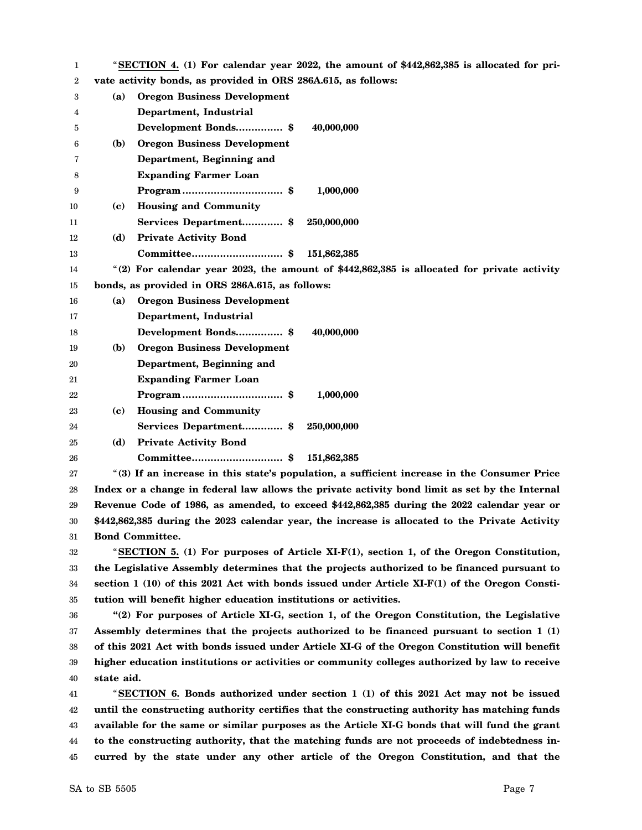| 1  |              | "SECTION 4. (1) For calendar year 2022, the amount of \$442,862,385 is allocated for pri-      |
|----|--------------|------------------------------------------------------------------------------------------------|
| 2  |              | vate activity bonds, as provided in ORS 286A.615, as follows:                                  |
| 3  | (a)          | <b>Oregon Business Development</b>                                                             |
| 4  |              | Department, Industrial                                                                         |
| 5  |              | Development Bonds \$<br>40,000,000                                                             |
| 6  | (b)          | <b>Oregon Business Development</b>                                                             |
| 7  |              | Department, Beginning and                                                                      |
| 8  |              | <b>Expanding Farmer Loan</b>                                                                   |
| 9  |              | 1,000,000                                                                                      |
| 10 | (c)          | <b>Housing and Community</b>                                                                   |
| 11 |              | Services Department \$<br>250,000,000                                                          |
| 12 | (d)          | <b>Private Activity Bond</b>                                                                   |
| 13 |              | 151,862,385                                                                                    |
| 14 |              | "(2) For calendar year 2023, the amount of $$442,862,385$ is allocated for private activity    |
| 15 |              | bonds, as provided in ORS 286A.615, as follows:                                                |
| 16 | (a)          | <b>Oregon Business Development</b>                                                             |
| 17 |              | Department, Industrial                                                                         |
| 18 |              | Development Bonds \$<br>40,000,000                                                             |
| 19 | ( <b>b</b> ) | <b>Oregon Business Development</b>                                                             |
| 20 |              | Department, Beginning and                                                                      |
| 21 |              | <b>Expanding Farmer Loan</b>                                                                   |
| 22 |              | 1,000,000                                                                                      |
| 23 | (c)          | <b>Housing and Community</b>                                                                   |
| 24 |              | Services Department\$<br>250,000,000                                                           |
| 25 | (d)          | <b>Private Activity Bond</b>                                                                   |
| 26 |              | 151,862,385                                                                                    |
| 27 |              | "(3) If an increase in this state's population, a sufficient increase in the Consumer Price    |
| 28 |              | Index or a change in federal law allows the private activity bond limit as set by the Internal |
| 29 |              | Revenue Code of 1986, as amended, to exceed \$442,862,385 during the 2022 calendar year or     |
| 30 |              | \$442,862,385 during the 2023 calendar year, the increase is allocated to the Private Activity |
| 31 |              | <b>Bond Committee.</b>                                                                         |
| 32 |              | "SECTION 5. $(1)$ For purposes of Article XI-F $(1)$ , section 1, of the Oregon Constitution,  |
| 33 |              | the Legislative Assembly determines that the projects authorized to be financed pursuant to    |
| 34 |              | section $1(10)$ of this 2021 Act with bonds issued under Article XI-F(1) of the Oregon Consti- |
| 35 |              | tution will benefit higher education institutions or activities.                               |
| 36 |              | "(2) For purposes of Article XI-G, section 1, of the Oregon Constitution, the Legislative      |
| 37 |              | Assembly determines that the projects authorized to be financed pursuant to section 1 (1)      |
| 38 |              | of this 2021 Act with bonds issued under Article XI-G of the Oregon Constitution will benefit  |
| 39 |              | higher education institutions or activities or community colleges authorized by law to receive |
| 40 | state aid.   |                                                                                                |
| 41 |              | "SECTION 6. Bonds authorized under section 1 (1) of this 2021 Act may not be issued            |
| 42 |              | until the constructing authority certifies that the constructing authority has matching funds  |
| 43 |              | available for the same or similar purposes as the Article XI-G bonds that will fund the grant  |
| 44 |              | to the constructing authority, that the matching funds are not proceeds of indebtedness in-    |
| 45 |              | curred by the state under any other article of the Oregon Constitution, and that the           |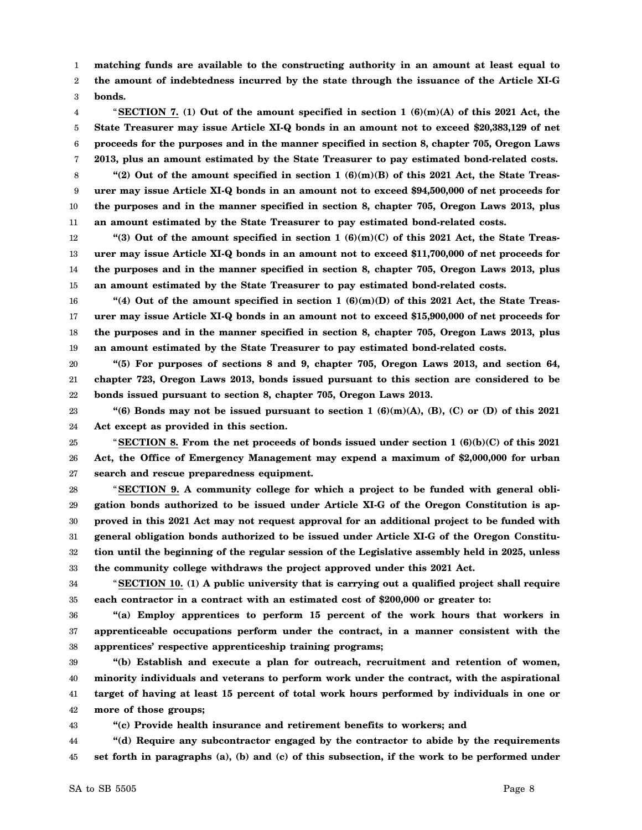1 2 3 **matching funds are available to the constructing authority in an amount at least equal to the amount of indebtedness incurred by the state through the issuance of the Article XI-G bonds.**

- 4 5 6 7 "**SECTION 7. (1) Out of the amount specified in section 1 (6)(m)(A) of this 2021 Act, the State Treasurer may issue Article XI-Q bonds in an amount not to exceed \$20,383,129 of net proceeds for the purposes and in the manner specified in section 8, chapter 705, Oregon Laws 2013, plus an amount estimated by the State Treasurer to pay estimated bond-related costs.**
- 8 9 10 11 **"(2) Out of the amount specified in section 1 (6)(m)(B) of this 2021 Act, the State Treasurer may issue Article XI-Q bonds in an amount not to exceed \$94,500,000 of net proceeds for the purposes and in the manner specified in section 8, chapter 705, Oregon Laws 2013, plus an amount estimated by the State Treasurer to pay estimated bond-related costs.**
- 12 13 14 15 **"(3) Out of the amount specified in section 1 (6)(m)(C) of this 2021 Act, the State Treasurer may issue Article XI-Q bonds in an amount not to exceed \$11,700,000 of net proceeds for the purposes and in the manner specified in section 8, chapter 705, Oregon Laws 2013, plus an amount estimated by the State Treasurer to pay estimated bond-related costs.**
- 16 17 18 19 **"(4) Out of the amount specified in section 1 (6)(m)(D) of this 2021 Act, the State Treasurer may issue Article XI-Q bonds in an amount not to exceed \$15,900,000 of net proceeds for the purposes and in the manner specified in section 8, chapter 705, Oregon Laws 2013, plus an amount estimated by the State Treasurer to pay estimated bond-related costs.**
- 20 21 22 **"(5) For purposes of sections 8 and 9, chapter 705, Oregon Laws 2013, and section 64, chapter 723, Oregon Laws 2013, bonds issued pursuant to this section are considered to be bonds issued pursuant to section 8, chapter 705, Oregon Laws 2013.**
- 23 24 "(6) Bonds may not be issued pursuant to section  $1(6)(m)(A)$ ,  $(B)$ ,  $(C)$  or  $(D)$  of this 2021 **Act except as provided in this section.**
- 25 26 27 "**SECTION 8. From the net proceeds of bonds issued under section 1 (6)(b)(C) of this 2021 Act, the Office of Emergency Management may expend a maximum of \$2,000,000 for urban search and rescue preparedness equipment.**
- 28 29 30 31 32 33 "**SECTION 9. A community college for which a project to be funded with general obligation bonds authorized to be issued under Article XI-G of the Oregon Constitution is approved in this 2021 Act may not request approval for an additional project to be funded with general obligation bonds authorized to be issued under Article XI-G of the Oregon Constitution until the beginning of the regular session of the Legislative assembly held in 2025, unless the community college withdraws the project approved under this 2021 Act.**
	-
- 34 35 "**SECTION 10. (1) A public university that is carrying out a qualified project shall require each contractor in a contract with an estimated cost of \$200,000 or greater to:**
- 36 37 38 **"(a) Employ apprentices to perform 15 percent of the work hours that workers in apprenticeable occupations perform under the contract, in a manner consistent with the apprentices' respective apprenticeship training programs;**
- 39 40 41 42 **"(b) Establish and execute a plan for outreach, recruitment and retention of women, minority individuals and veterans to perform work under the contract, with the aspirational target of having at least 15 percent of total work hours performed by individuals in one or more of those groups;**
- 43 **"(c) Provide health insurance and retirement benefits to workers; and**
- 44 45 **"(d) Require any subcontractor engaged by the contractor to abide by the requirements set forth in paragraphs (a), (b) and (c) of this subsection, if the work to be performed under**